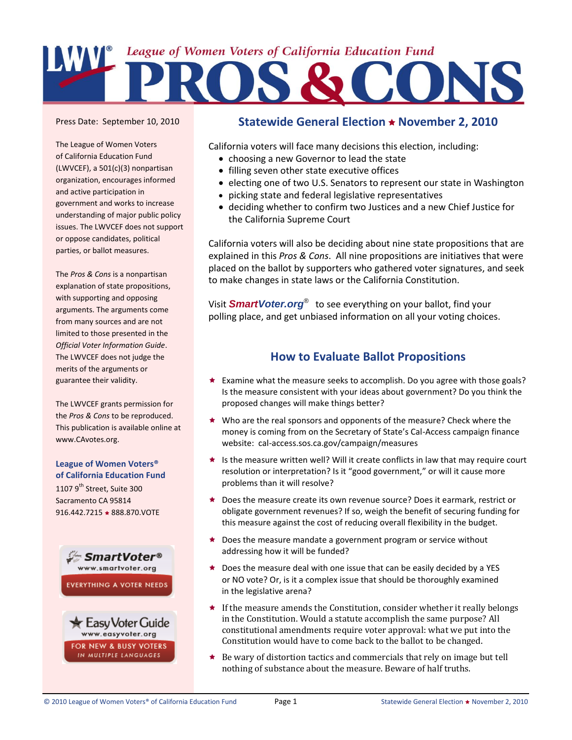

Press Date: September 10, 2010

The League of Women Voters of California Education Fund (LWVCEF), a 501(c)(3) nonpartisan organization, encourages informed and active participation in government and works to increase understanding of major public policy issues. The LWVCEF does not support or oppose candidates, political parties, or ballot measures.

The *Pros & Cons* is a nonpartisan explanation of state propositions, with supporting and opposing arguments. The arguments come from many sources and are not limited to those presented in the *Official Voter Information Guide*. The LWVCEF does not judge the merits of the arguments or guarantee their validity.

The LWVCEF grants permission for the *Pros & Cons* to be reproduced. This publication is available online at www.CAvotes.org.

# **League of Women Voters® of California Education Fund**

1107 9<sup>th</sup> Street, Suite 300 Sacramento CA 95814 916.442.7215 ★ 888.870.VOTE





# **Statewide General Election November 2, 2010**

California voters will face many decisions this election, including:

- choosing a new Governor to lead the state
- filling seven other state executive offices
- electing one of two U.S. Senators to represent our state in Washington
- picking state and federal legislative representatives
- deciding whether to confirm two Justices and a new Chief Justice for the California Supreme Court

California voters will also be deciding about nine state propositions that are explained in this *Pros & Cons*. All nine propositions are initiatives that were placed on the ballot by supporters who gathered voter signatures, and seek to make changes in state laws or the California Constitution.

Visit *SmartVoter.org®* to see everything on your ballot, find your polling place, and get unbiased information on all your voting choices.

# **How to Evaluate Ballot Propositions**

- ★ Examine what the measure seeks to accomplish. Do you agree with those goals? Is the measure consistent with your ideas about government? Do you think the proposed changes will make things better?
- ★ Who are the real sponsors and opponents of the measure? Check where the money is coming from on the Secretary of State's Cal-Access campaign finance website: cal-access.sos.ca.gov/campaign/measures
- Is the measure written well? Will it create conflicts in law that may require court resolution or interpretation? Is it "good government," or will it cause more problems than it will resolve?
- ★ Does the measure create its own revenue source? Does it earmark, restrict or obligate government revenues? If so, weigh the benefit of securing funding for this measure against the cost of reducing overall flexibility in the budget.
- ★ Does the measure mandate a government program or service without addressing how it will be funded?
- $\star$  Does the measure deal with one issue that can be easily decided by a YES or NO vote? Or, is it a complex issue that should be thoroughly examined in the legislative arena?
- $\star$  If the measure amends the Constitution, consider whether it really belongs in the Constitution. Would a statute accomplish the same purpose? All constitutional amendments require voter approval: what we put into the Constitution would have to come back to the ballot to be changed.
- ★ Be wary of distortion tactics and commercials that rely on image but tell nothing of substance about the measure. Beware of half truths.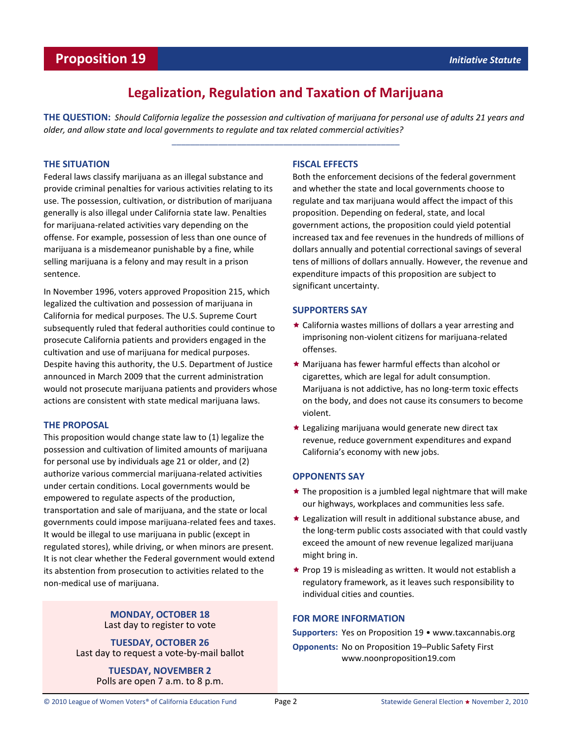# **Proposition 19** *ID ID ID ID* **<b>***Initiative Statute*

# **Legalization, Regulation and Taxation of Marijuana**

**THE QUESTION:** *Should California legalize the possession and cultivation of marijuana for personal use of adults 21 years and older, and allow state and local governments to regulate and tax related commercial activities?* \_\_\_\_\_\_\_\_\_\_\_\_\_\_\_\_\_\_\_\_\_\_\_\_\_\_\_\_\_\_\_\_\_\_\_\_\_\_\_\_\_\_\_\_\_\_\_\_\_

# **THE SITUATION**

Federal laws classify marijuana as an illegal substance and provide criminal penalties for various activities relating to its use. The possession, cultivation, or distribution of marijuana generally is also illegal under California state law. Penalties for marijuana-related activities vary depending on the offense. For example, possession of less than one ounce of marijuana is a misdemeanor punishable by a fine, while selling marijuana is a felony and may result in a prison sentence.

In November 1996, voters approved Proposition 215, which legalized the cultivation and possession of marijuana in California for medical purposes. The U.S. Supreme Court subsequently ruled that federal authorities could continue to prosecute California patients and providers engaged in the cultivation and use of marijuana for medical purposes. Despite having this authority, the U.S. Department of Justice announced in March 2009 that the current administration would not prosecute marijuana patients and providers whose actions are consistent with state medical marijuana laws.

#### **THE PROPOSAL**

This proposition would change state law to (1) legalize the possession and cultivation of limited amounts of marijuana for personal use by individuals age 21 or older, and (2) authorize various commercial marijuana-related activities under certain conditions. Local governments would be empowered to regulate aspects of the production, transportation and sale of marijuana, and the state or local governments could impose marijuana-related fees and taxes. It would be illegal to use marijuana in public (except in regulated stores), while driving, or when minors are present. It is not clear whether the Federal government would extend its abstention from prosecution to activities related to the non-medical use of marijuana.

> **MONDAY, OCTOBER 18** Last day to register to vote

**TUESDAY, OCTOBER 26** Last day to request a vote-by-mail ballot

> **TUESDAY, NOVEMBER 2** Polls are open 7 a.m. to 8 p.m.

#### **FISCAL EFFECTS**

Both the enforcement decisions of the federal government and whether the state and local governments choose to regulate and tax marijuana would affect the impact of this proposition. Depending on federal, state, and local government actions, the proposition could yield potential increased tax and fee revenues in the hundreds of millions of dollars annually and potential correctional savings of several tens of millions of dollars annually. However, the revenue and expenditure impacts of this proposition are subject to significant uncertainty.

#### **SUPPORTERS SAY**

- ★ California wastes millions of dollars a year arresting and imprisoning non-violent citizens for marijuana-related offenses.
- Marijuana has fewer harmful effects than alcohol or cigarettes, which are legal for adult consumption. Marijuana is not addictive, has no long-term toxic effects on the body, and does not cause its consumers to become violent.
- ★ Legalizing marijuana would generate new direct tax revenue, reduce government expenditures and expand California's economy with new jobs.

#### **OPPONENTS SAY**

- ★ The proposition is a jumbled legal nightmare that will make our highways, workplaces and communities less safe.
- Legalization will result in additional substance abuse, and the long-term public costs associated with that could vastly exceed the amount of new revenue legalized marijuana might bring in.
- $\star$  Prop 19 is misleading as written. It would not establish a regulatory framework, as it leaves such responsibility to individual cities and counties.

## **FOR MORE INFORMATION**

**Supporters:** Yes on Proposition 19 • www.taxcannabis.org **Opponents:** No on Proposition 19–Public Safety First www.noonproposition19.com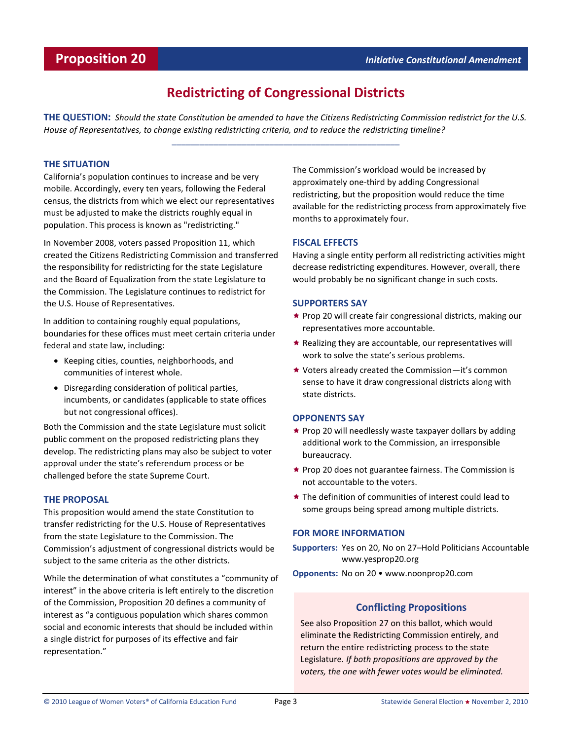# **Redistricting of Congressional Districts**

**THE QUESTION:** *Should the state Constitution be amended to have the Citizens Redistricting Commission redistrict for the U.S. House of Representatives, to change existing redistricting criteria, and to reduce the redistricting timeline?* \_\_\_\_\_\_\_\_\_\_\_\_\_\_\_\_\_\_\_\_\_\_\_\_\_\_\_\_\_\_\_\_\_\_\_\_\_\_\_\_\_\_\_\_\_\_\_\_\_

# **THE SITUATION**

California's population continues to increase and be very mobile. Accordingly, every ten years, following the Federal census, the districts from which we elect our representatives must be adjusted to make the districts roughly equal in population. This process is known as "redistricting."

In November 2008, voters passed Proposition 11, which created the Citizens Redistricting Commission and transferred the responsibility for redistricting for the state Legislature and the Board of Equalization from the state Legislature to the Commission. The Legislature continues to redistrict for the U.S. House of Representatives.

In addition to containing roughly equal populations, boundaries for these offices must meet certain criteria under federal and state law, including:

- Keeping cities, counties, neighborhoods, and communities of interest whole.
- Disregarding consideration of political parties, incumbents, or candidates (applicable to state offices but not congressional offices).

Both the Commission and the state Legislature must solicit public comment on the proposed redistricting plans they develop. The redistricting plans may also be subject to voter approval under the state's referendum process or be challenged before the state Supreme Court.

# **THE PROPOSAL**

This proposition would amend the state Constitution to transfer redistricting for the U.S. House of Representatives from the state Legislature to the Commission. The Commission's adjustment of congressional districts would be subject to the same criteria as the other districts.

While the determination of what constitutes a "community of interest" in the above criteria is left entirely to the discretion of the Commission, Proposition 20 defines a community of interest as "a contiguous population which shares common social and economic interests that should be included within a single district for purposes of its effective and fair representation."

The Commission's workload would be increased by approximately one-third by adding Congressional redistricting, but the proposition would reduce the time available for the redistricting process from approximately five months to approximately four.

## **FISCAL EFFECTS**

Having a single entity perform all redistricting activities might decrease redistricting expenditures. However, overall, there would probably be no significant change in such costs.

#### **SUPPORTERS SAY**

- $\star$  Prop 20 will create fair congressional districts, making our representatives more accountable.
- $\star$  Realizing they are accountable, our representatives will work to solve the state's serious problems.
- ★ Voters already created the Commission—it's common sense to have it draw congressional districts along with state districts.

# **OPPONENTS SAY**

- $\star$  Prop 20 will needlessly waste taxpayer dollars by adding additional work to the Commission, an irresponsible bureaucracy.
- $\star$  Prop 20 does not guarantee fairness. The Commission is not accountable to the voters.
- The definition of communities of interest could lead to some groups being spread among multiple districts.

#### **FOR MORE INFORMATION**

**Supporters:** Yes on 20, No on 27–Hold Politicians Accountable www.yesprop20.org

**Opponents:** No on 20 • www.noonprop20.com

# **Conflicting Propositions**

See also Proposition 27 on this ballot, which would eliminate the Redistricting Commission entirely, and return the entire redistricting process to the state Legislature*. If both propositions are approved by the voters, the one with fewer votes would be eliminated.*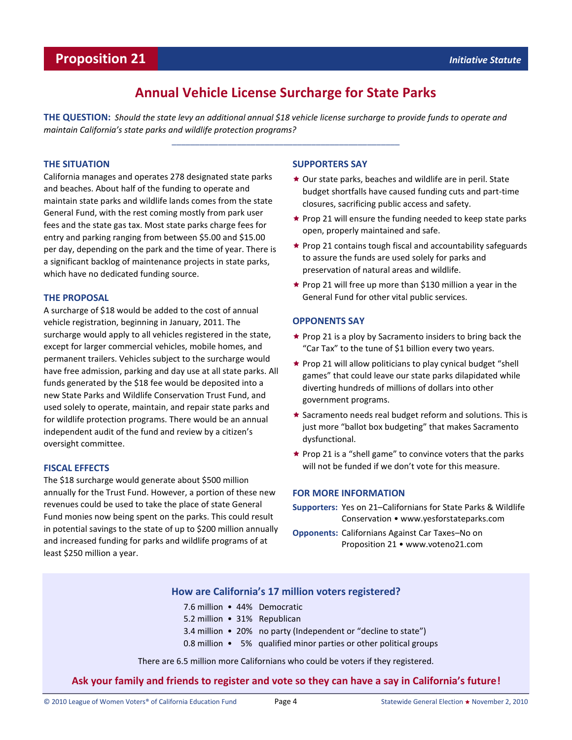# **Proposition 21** *Initiative Statute*

# **Annual Vehicle License Surcharge for State Parks**

\_\_\_\_\_\_\_\_\_\_\_\_\_\_\_\_\_\_\_\_\_\_\_\_\_\_\_\_\_\_\_\_\_\_\_\_\_\_\_\_\_\_\_\_\_\_\_\_\_

**THE QUESTION:** *Should the state levy an additional annual \$18 vehicle license surcharge to provide funds to operate and maintain California's state parks and wildlife protection programs?*

# **THE SITUATION**

California manages and operates 278 designated state parks and beaches. About half of the funding to operate and maintain state parks and wildlife lands comes from the state General Fund, with the rest coming mostly from park user fees and the state gas tax. Most state parks charge fees for entry and parking ranging from between \$5.00 and \$15.00 per day, depending on the park and the time of year. There is a significant backlog of maintenance projects in state parks, which have no dedicated funding source.

## **THE PROPOSAL**

A surcharge of \$18 would be added to the cost of annual vehicle registration, beginning in January, 2011. The surcharge would apply to all vehicles registered in the state, except for larger commercial vehicles, mobile homes, and permanent trailers. Vehicles subject to the surcharge would have free admission, parking and day use at all state parks. All funds generated by the \$18 fee would be deposited into a new State Parks and Wildlife Conservation Trust Fund, and used solely to operate, maintain, and repair state parks and for wildlife protection programs. There would be an annual independent audit of the fund and review by a citizen's oversight committee.

## **FISCAL EFFECTS**

The \$18 surcharge would generate about \$500 million annually for the Trust Fund. However, a portion of these new revenues could be used to take the place of state General Fund monies now being spent on the parks. This could result in potential savings to the state of up to \$200 million annually and increased funding for parks and wildlife programs of at least \$250 million a year.

#### **SUPPORTERS SAY**

- ★ Our state parks, beaches and wildlife are in peril. State budget shortfalls have caused funding cuts and part-time closures, sacrificing public access and safety.
- $\star$  Prop 21 will ensure the funding needed to keep state parks open, properly maintained and safe.
- ★ Prop 21 contains tough fiscal and accountability safeguards to assure the funds are used solely for parks and preservation of natural areas and wildlife.
- $\star$  Prop 21 will free up more than \$130 million a year in the General Fund for other vital public services.

# **OPPONENTS SAY**

- $\star$  Prop 21 is a ploy by Sacramento insiders to bring back the "Car Tax" to the tune of \$1 billion every two years.
- ★ Prop 21 will allow politicians to play cynical budget "shell games" that could leave our state parks dilapidated while diverting hundreds of millions of dollars into other government programs.
- Sacramento needs real budget reform and solutions. This is just more "ballot box budgeting" that makes Sacramento dysfunctional.
- $\star$  Prop 21 is a "shell game" to convince voters that the parks will not be funded if we don't vote for this measure.

# **FOR MORE INFORMATION**

**Supporters:** Yes on 21–Californians for State Parks & Wildlife Conservation • www.yesforstateparks.com

**Opponents:** Californians Against Car Taxes–No on Proposition 21 • www.voteno21.com

# **How are California's 17 million voters registered?**

- 7.6 million 44% Democratic
- 5.2 million 31% Republican
- 3.4 million 20% no party (Independent or "decline to state")
- 0.8 million 5% qualified minor parties or other political groups

There are 6.5 million more Californians who could be voters if they registered.

# **Ask your family and friends to register and vote so they can have a say in California's future!**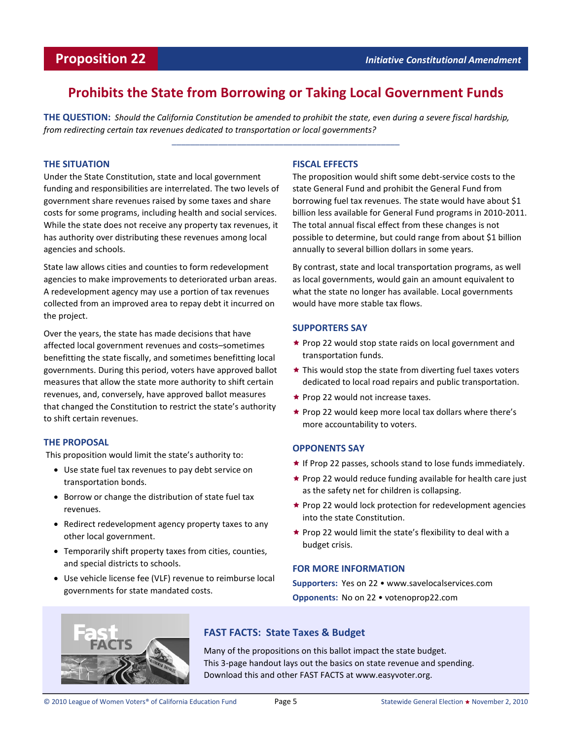# **Prohibits the State from Borrowing or Taking Local Government Funds**

\_\_\_\_\_\_\_\_\_\_\_\_\_\_\_\_\_\_\_\_\_\_\_\_\_\_\_\_\_\_\_\_\_\_\_\_\_\_\_\_\_\_\_\_\_\_\_\_\_

**THE QUESTION:** *Should the California Constitution be amended to prohibit the state, even during a severe fiscal hardship, from redirecting certain tax revenues dedicated to transportation or local governments?*

# **THE SITUATION**

Under the State Constitution, state and local government funding and responsibilities are interrelated. The two levels of government share revenues raised by some taxes and share costs for some programs, including health and social services. While the state does not receive any property tax revenues, it has authority over distributing these revenues among local agencies and schools.

State law allows cities and counties to form redevelopment agencies to make improvements to deteriorated urban areas. A redevelopment agency may use a portion of tax revenues collected from an improved area to repay debt it incurred on the project.

Over the years, the state has made decisions that have affected local government revenues and costs–sometimes benefitting the state fiscally, and sometimes benefitting local governments. During this period, voters have approved ballot measures that allow the state more authority to shift certain revenues, and, conversely, have approved ballot measures that changed the Constitution to restrict the state's authority to shift certain revenues.

## **THE PROPOSAL**

This proposition would limit the state's authority to:

- Use state fuel tax revenues to pay debt service on transportation bonds.
- Borrow or change the distribution of state fuel tax revenues.
- Redirect redevelopment agency property taxes to any other local government.
- Temporarily shift property taxes from cities, counties, and special districts to schools.
- Use vehicle license fee (VLF) revenue to reimburse local governments for state mandated costs.

#### **FISCAL EFFECTS**

The proposition would shift some debt-service costs to the state General Fund and prohibit the General Fund from borrowing fuel tax revenues. The state would have about \$1 billion less available for General Fund programs in 2010-2011. The total annual fiscal effect from these changes is not possible to determine, but could range from about \$1 billion annually to several billion dollars in some years.

By contrast, state and local transportation programs, as well as local governments, would gain an amount equivalent to what the state no longer has available. Local governments would have more stable tax flows.

#### **SUPPORTERS SAY**

- ★ Prop 22 would stop state raids on local government and transportation funds.
- ★ This would stop the state from diverting fuel taxes voters dedicated to local road repairs and public transportation.
- $\star$  Prop 22 would not increase taxes.
- $\star$  Prop 22 would keep more local tax dollars where there's more accountability to voters.

#### **OPPONENTS SAY**

- $\star$  If Prop 22 passes, schools stand to lose funds immediately.
- $\star$  Prop 22 would reduce funding available for health care just as the safety net for children is collapsing.
- $\star$  Prop 22 would lock protection for redevelopment agencies into the state Constitution.
- $\star$  Prop 22 would limit the state's flexibility to deal with a budget crisis.

#### **FOR MORE INFORMATION**

**Supporters:** Yes on 22 • www.savelocalservices.com **Opponents:** No on 22 • votenoprop22.com



# **FAST FACTS: State Taxes & Budget**

Many of the propositions on this ballot impact the state budget. This 3-page handout lays out the basics on state revenue and spending. Download this and other FAST FACTS at www.easyvoter.org.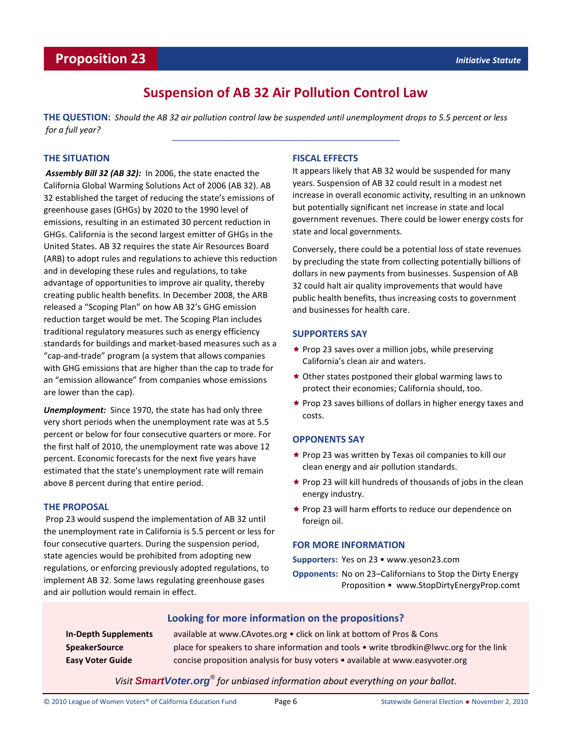# **Suspension of AB 32 Air Pollution Control Law**

**THE QUESTION:** *Should the AB 32 air pollution control law be suspended until unemployment drops to 5.5 percent or less for a full year?* \_\_\_\_\_\_\_\_\_\_\_\_\_\_\_\_\_\_\_\_\_\_\_\_\_\_\_\_\_\_\_\_\_\_\_\_\_\_\_\_\_\_\_\_\_\_\_\_\_

# **THE SITUATION**

*Assembly Bill 32 (AB 32):* In 2006, the state enacted the California Global Warming Solutions Act of 2006 (AB 32). AB 32 established the target of reducing the state's emissions of greenhouse gases (GHGs) by 2020 to the 1990 level of emissions, resulting in an estimated 30 percent reduction in GHGs. California is the second largest emitter of GHGs in the United States. AB 32 requires the state Air Resources Board (ARB) to adopt rules and regulations to achieve this reduction and in developing these rules and regulations, to take advantage of opportunities to improve air quality, thereby creating public health benefits. In December 2008, the ARB released a "Scoping Plan" on how AB 32's GHG emission reduction target would be met. The Scoping Plan includes traditional regulatory measures such as energy efficiency standards for buildings and market-based measures such as a "cap-and-trade" program (a system that allows companies with GHG emissions that are higher than the cap to trade for an "emission allowance" from companies whose emissions are lower than the cap).

*Unemployment:* Since 1970, the state has had only three very short periods when the unemployment rate was at 5.5 percent or below for four consecutive quarters or more. For the first half of 2010, the unemployment rate was above 12 percent. Economic forecasts for the next five years have estimated that the state's unemployment rate will remain above 8 percent during that entire period.

#### **THE PROPOSAL**

Prop 23 would suspend the implementation of AB 32 until the unemployment rate in California is 5.5 percent or less for four consecutive quarters. During the suspension period, state agencies would be prohibited from adopting new regulations, or enforcing previously adopted regulations, to implement AB 32. Some laws regulating greenhouse gases and air pollution would remain in effect.

#### **FISCAL EFFECTS**

It appears likely that AB 32 would be suspended for many years. Suspension of AB 32 could result in a modest net increase in overall economic activity, resulting in an unknown but potentially significant net increase in state and local government revenues. There could be lower energy costs for state and local governments.

Conversely, there could be a potential loss of state revenues by precluding the state from collecting potentially billions of dollars in new payments from businesses. Suspension of AB 32 could halt air quality improvements that would have public health benefits, thus increasing costs to government and businesses for health care.

#### **SUPPORTERS SAY**

- $\star$  Prop 23 saves over a million jobs, while preserving California's clean air and waters.
- ★ Other states postponed their global warming laws to protect their economies; California should, too.
- $\star$  Prop 23 saves billions of dollars in higher energy taxes and costs.

#### **OPPONENTS SAY**

- $\star$  Prop 23 was written by Texas oil companies to kill our clean energy and air pollution standards.
- $\star$  Prop 23 will kill hundreds of thousands of jobs in the clean energy industry.
- ★ Prop 23 will harm efforts to reduce our dependence on foreign oil.

# **FOR MORE INFORMATION**

**Supporters:** Yes on 23 • [www.yeson23.com](file:///M:/Files%20to%20Zippy/www.yeson23.com)

**Opponents:** No on 23–Californians to Stop the Dirty Energy Proposition • www.StopDirtyEnergyProp.comt

# **Looking for more information on the propositions?**

**In-Depth Supplements** available at www.CAvotes.org • click on link at bottom of Pros & Cons **SpeakerSource** place for speakers to share information and tools • write tbrodkin@lwvc.org for the link **Easy Voter Guide** concise proposition analysis for busy voters • available at www.easyvoter.org

*Visit SmartVoter.org® for unbiased information about everything on your ballot.*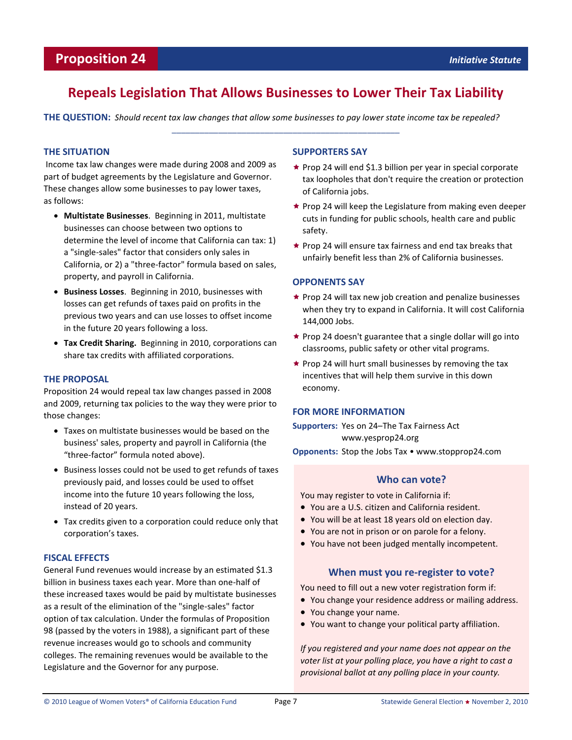# **Repeals Legislation That Allows Businesses to Lower Their Tax Liability**

\_\_\_\_\_\_\_\_\_\_\_\_\_\_\_\_\_\_\_\_\_\_\_\_\_\_\_\_\_\_\_\_\_\_\_\_\_\_\_\_\_\_\_\_\_\_\_\_\_

**THE QUESTION:** *Should recent tax law changes that allow some businesses to pay lower state income tax be repealed?*

# **THE SITUATION**

Income tax law changes were made during 2008 and 2009 as part of budget agreements by the Legislature and Governor. These changes allow some businesses to pay lower taxes, as follows:

- **Multistate Businesses**. Beginning in 2011, multistate businesses can choose between two options to determine the level of income that California can tax: 1) a "single-sales" factor that considers only sales in California, or 2) a "three-factor" formula based on sales, property, and payroll in California.
- **Business Losses**. Beginning in 2010, businesses with losses can get refunds of taxes paid on profits in the previous two years and can use losses to offset income in the future 20 years following a loss.
- **Tax Credit Sharing.** Beginning in 2010, corporations can share tax credits with affiliated corporations.

# **THE PROPOSAL**

Proposition 24 would repeal tax law changes passed in 2008 and 2009, returning tax policies to the way they were prior to those changes:

- Taxes on multistate businesses would be based on the business' sales, property and payroll in California (the "three-factor" formula noted above).
- Business losses could not be used to get refunds of taxes previously paid, and losses could be used to offset income into the future 10 years following the loss, instead of 20 years.
- Tax credits given to a corporation could reduce only that corporation's taxes.

# **FISCAL EFFECTS**

General Fund revenues would increase by an estimated \$1.3 billion in business taxes each year. More than one-half of these increased taxes would be paid by multistate businesses as a result of the elimination of the "single-sales" factor option of tax calculation. Under the formulas of Proposition 98 (passed by the voters in 1988), a significant part of these revenue increases would go to schools and community colleges. The remaining revenues would be available to the Legislature and the Governor for any purpose.

## **SUPPORTERS SAY**

- $\star$  Prop 24 will end \$1.3 billion per year in special corporate tax loopholes that don't require the creation or protection of California jobs.
- $\star$  Prop 24 will keep the Legislature from making even deeper cuts in funding for public schools, health care and public safety.
- $\star$  Prop 24 will ensure tax fairness and end tax breaks that unfairly benefit less than 2% of California businesses.

## **OPPONENTS SAY**

- $\star$  Prop 24 will tax new job creation and penalize businesses when they try to expand in California. It will cost California 144,000 Jobs.
- $\star$  Prop 24 doesn't guarantee that a single dollar will go into classrooms, public safety or other vital programs.
- $\star$  Prop 24 will hurt small businesses by removing the tax incentives that will help them survive in this down economy.

#### **FOR MORE INFORMATION**

**Supporters:** Yes on 24–The Tax Fairness Act www.yesprop24.org

**Opponents:** Stop the Jobs Tax • www.stopprop24.com

#### **Who can vote?**

You may register to vote in California if:

- You are a U.S. citizen and California resident.
- You will be at least 18 years old on election day.
- You are not in prison or on parole for a felony.
- You have not been judged mentally incompetent.

# **When must you re-register to vote?**

You need to fill out a new voter registration form if:

- You change your residence address or mailing address.
- You change your name.
- You want to change your political party affiliation.

*If you registered and your name does not appear on the voter list at your polling place, you have a right to cast a provisional ballot at any polling place in your county.*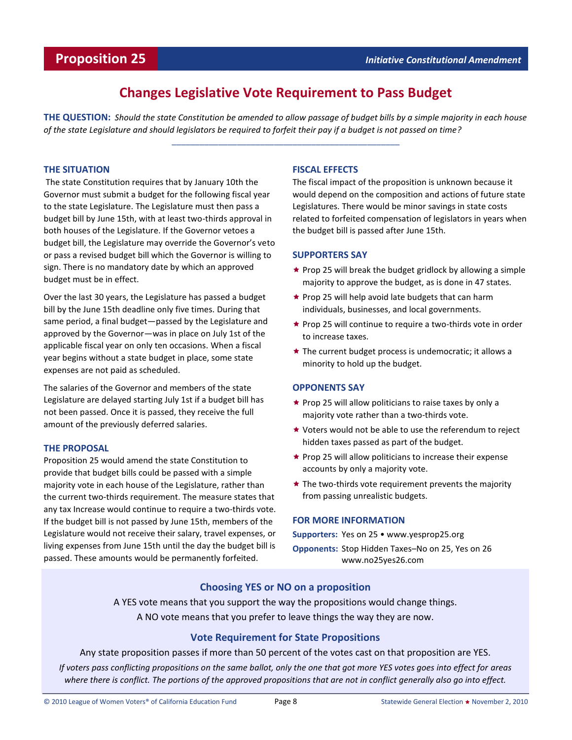# **Changes Legislative Vote Requirement to Pass Budget**

**THE QUESTION:** *Should the state Constitution be amended to allow passage of budget bills by a simple majority in each house of the state Legislature and should legislators be required to forfeit their pay if a budget is not passed on time?* \_\_\_\_\_\_\_\_\_\_\_\_\_\_\_\_\_\_\_\_\_\_\_\_\_\_\_\_\_\_\_\_\_\_\_\_\_\_\_\_\_\_\_\_\_\_\_\_\_

# **THE SITUATION**

The state Constitution requires that by January 10th the Governor must submit a budget for the following fiscal year to the state Legislature. The Legislature must then pass a budget bill by June 15th, with at least two-thirds approval in both houses of the Legislature. If the Governor vetoes a budget bill, the Legislature may override the Governor's veto or pass a revised budget bill which the Governor is willing to sign. There is no mandatory date by which an approved budget must be in effect.

Over the last 30 years, the Legislature has passed a budget bill by the June 15th deadline only five times. During that same period, a final budget—passed by the Legislature and approved by the Governor—was in place on July 1st of the applicable fiscal year on only ten occasions. When a fiscal year begins without a state budget in place, some state expenses are not paid as scheduled.

The salaries of the Governor and members of the state Legislature are delayed starting July 1st if a budget bill has not been passed. Once it is passed, they receive the full amount of the previously deferred salaries.

## **THE PROPOSAL**

Proposition 25 would amend the state Constitution to provide that budget bills could be passed with a simple majority vote in each house of the Legislature, rather than the current two-thirds requirement. The measure states that any tax Increase would continue to require a two-thirds vote. If the budget bill is not passed by June 15th, members of the Legislature would not receive their salary, travel expenses, or living expenses from June 15th until the day the budget bill is passed. These amounts would be permanently forfeited.

## **FISCAL EFFECTS**

The fiscal impact of the proposition is unknown because it would depend on the composition and actions of future state Legislatures. There would be minor savings in state costs related to forfeited compensation of legislators in years when the budget bill is passed after June 15th.

## **SUPPORTERS SAY**

- $\star$  Prop 25 will break the budget gridlock by allowing a simple majority to approve the budget, as is done in 47 states.
- $\star$  Prop 25 will help avoid late budgets that can harm individuals, businesses, and local governments.
- ★ Prop 25 will continue to require a two-thirds vote in order to increase taxes.
- ★ The current budget process is undemocratic; it allows a minority to hold up the budget.

# **OPPONENTS SAY**

- $\star$  Prop 25 will allow politicians to raise taxes by only a majority vote rather than a two-thirds vote.
- ★ Voters would not be able to use the referendum to reject hidden taxes passed as part of the budget.
- $\star$  Prop 25 will allow politicians to increase their expense accounts by only a majority vote.
- $\star$  The two-thirds vote requirement prevents the majority from passing unrealistic budgets.

#### **FOR MORE INFORMATION**

**Supporters:** Yes on 25 • www.yesprop25.org **Opponents:** Stop Hidden Taxes–No on 25, Yes on 26 www.no25yes26.com

# **Choosing YES or NO on a proposition**

A YES vote means that you support the way the propositions would change things. A NO vote means that you prefer to leave things the way they are now.

# **Vote Requirement for State Propositions**

Any state proposition passes if more than 50 percent of the votes cast on that proposition are YES.

*If voters pass conflicting propositions on the same ballot, only the one that got more YES votes goes into effect for areas where there is conflict. The portions of the approved propositions that are not in conflict generally also go into effect.*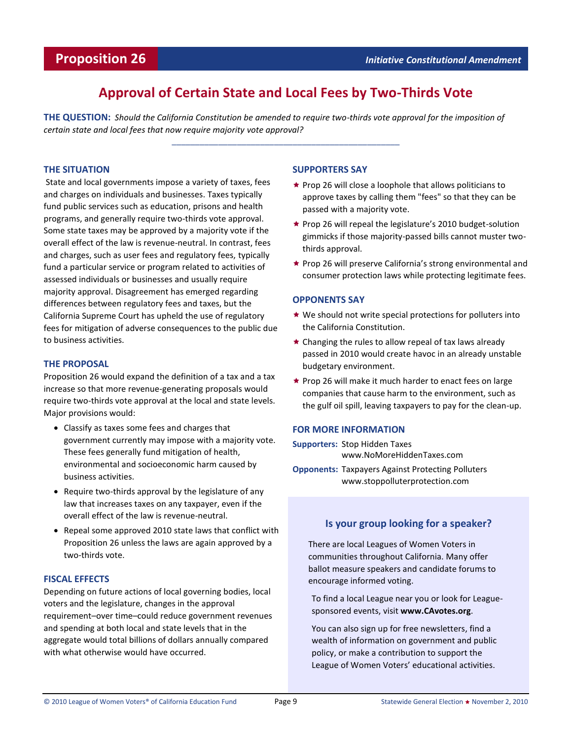# **Approval of Certain State and Local Fees by Two-Thirds Vote**

\_\_\_\_\_\_\_\_\_\_\_\_\_\_\_\_\_\_\_\_\_\_\_\_\_\_\_\_\_\_\_\_\_\_\_\_\_\_\_\_\_\_\_\_\_\_\_\_\_

**THE QUESTION:** *Should the California Constitution be amended to require two-thirds vote approval for the imposition of certain state and local fees that now require majority vote approval?*

## **THE SITUATION**

State and local governments impose a variety of taxes, fees and charges on individuals and businesses. Taxes typically fund public services such as education, prisons and health programs, and generally require two-thirds vote approval. Some state taxes may be approved by a majority vote if the overall effect of the law is revenue-neutral. In contrast, fees and charges, such as user fees and regulatory fees, typically fund a particular service or program related to activities of assessed individuals or businesses and usually require majority approval. Disagreement has emerged regarding differences between regulatory fees and taxes, but the California Supreme Court has upheld the use of regulatory fees for mitigation of adverse consequences to the public due to business activities.

## **THE PROPOSAL**

Proposition 26 would expand the definition of a tax and a tax increase so that more revenue-generating proposals would require two-thirds vote approval at the local and state levels. Major provisions would:

- Classify as taxes some fees and charges that government currently may impose with a majority vote. These fees generally fund mitigation of health, environmental and socioeconomic harm caused by business activities.
- Require two-thirds approval by the legislature of any law that increases taxes on any taxpayer, even if the overall effect of the law is revenue-neutral.
- Repeal some approved 2010 state laws that conflict with Proposition 26 unless the laws are again approved by a two-thirds vote.

## **FISCAL EFFECTS**

Depending on future actions of local governing bodies, local voters and the legislature, changes in the approval requirement–over time–could reduce government revenues and spending at both local and state levels that in the aggregate would total billions of dollars annually compared with what otherwise would have occurred.

## **SUPPORTERS SAY**

- $\star$  Prop 26 will close a loophole that allows politicians to approve taxes by calling them "fees" so that they can be passed with a majority vote.
- $\star$  Prop 26 will repeal the legislature's 2010 budget-solution gimmicks if those majority-passed bills cannot muster twothirds approval.
- $\star$  Prop 26 will preserve California's strong environmental and consumer protection laws while protecting legitimate fees.

# **OPPONENTS SAY**

- ★ We should not write special protections for polluters into the California Constitution.
- ★ Changing the rules to allow repeal of tax laws already passed in 2010 would create havoc in an already unstable budgetary environment.
- $\star$  Prop 26 will make it much harder to enact fees on large companies that cause harm to the environment, such as the gulf oil spill, leaving taxpayers to pay for the clean-up.

#### **FOR MORE INFORMATION**

- **Supporters:** Stop Hidden Taxes www.NoMoreHiddenTaxes.com
- **Opponents:** Taxpayers Against Protecting Polluters www.stoppolluterprotection.com

# **Is your group looking for a speaker?**

There are local Leagues of Women Voters in communities throughout California. Many offer ballot measure speakers and candidate forums to encourage informed voting.

To find a local League near you or look for Leaguesponsored events, visit **www.CAvotes.org**.

You can also sign up for free newsletters, find a wealth of information on government and public policy, or make a contribution to support the League of Women Voters' educational activities.